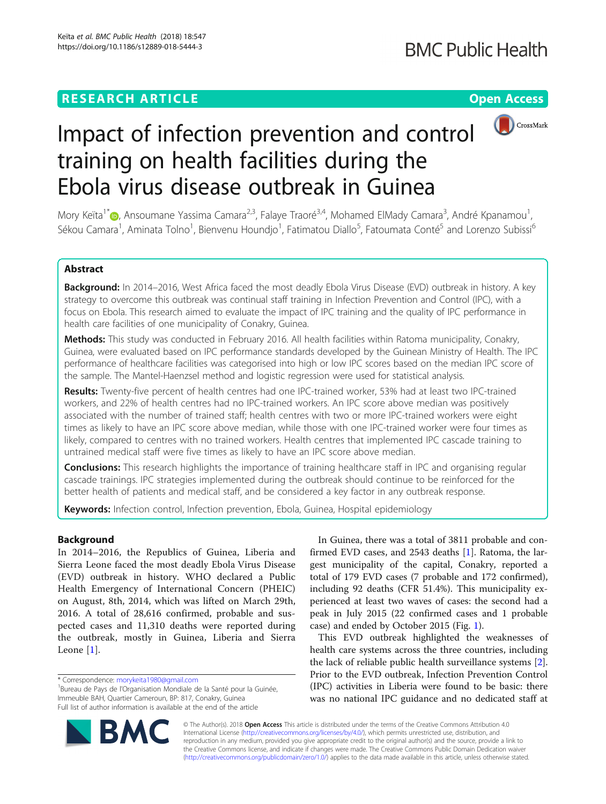## **RESEARCH ARTICLE Example 2014 12:30 The Contract of Contract ACCESS**



# Impact of infection prevention and control training on health facilities during the Ebola virus disease outbreak in Guinea

Mory Keïta<sup>1\*</sup>®[,](http://orcid.org/0000-0002-6304-9288) Ansoumane Yassima Camara<sup>2,3</sup>, Falaye Traoré<sup>3,4</sup>, Mohamed ElMady Camara<sup>3</sup>, André Kpanamou<sup>1</sup> , Sékou Camara<sup>1</sup>, Aminata Tolno<sup>1</sup>, Bienvenu Houndjo<sup>1</sup>, Fatimatou Diallo<sup>5</sup>, Fatoumata Conté<sup>5</sup> and Lorenzo Subissi<sup>6</sup>

### Abstract

Background: In 2014–2016, West Africa faced the most deadly Ebola Virus Disease (EVD) outbreak in history. A key strategy to overcome this outbreak was continual staff training in Infection Prevention and Control (IPC), with a focus on Ebola. This research aimed to evaluate the impact of IPC training and the quality of IPC performance in health care facilities of one municipality of Conakry, Guinea.

Methods: This study was conducted in February 2016. All health facilities within Ratoma municipality, Conakry, Guinea, were evaluated based on IPC performance standards developed by the Guinean Ministry of Health. The IPC performance of healthcare facilities was categorised into high or low IPC scores based on the median IPC score of the sample. The Mantel-Haenzsel method and logistic regression were used for statistical analysis.

Results: Twenty-five percent of health centres had one IPC-trained worker, 53% had at least two IPC-trained workers, and 22% of health centres had no IPC-trained workers. An IPC score above median was positively associated with the number of trained staff; health centres with two or more IPC-trained workers were eight times as likely to have an IPC score above median, while those with one IPC-trained worker were four times as likely, compared to centres with no trained workers. Health centres that implemented IPC cascade training to untrained medical staff were five times as likely to have an IPC score above median.

**Conclusions:** This research highlights the importance of training healthcare staff in IPC and organising regular cascade trainings. IPC strategies implemented during the outbreak should continue to be reinforced for the better health of patients and medical staff, and be considered a key factor in any outbreak response.

Keywords: Infection control, Infection prevention, Ebola, Guinea, Hospital epidemiology

#### Background

In 2014–2016, the Republics of Guinea, Liberia and Sierra Leone faced the most deadly Ebola Virus Disease (EVD) outbreak in history. WHO declared a Public Health Emergency of International Concern (PHEIC) on August, 8th, 2014, which was lifted on March 29th, 2016. A total of 28,616 confirmed, probable and suspected cases and 11,310 deaths were reported during the outbreak, mostly in Guinea, Liberia and Sierra Leone [\[1](#page-5-0)].

\* Correspondence: [morykeita1980@gmail.com](mailto:morykeita1980@gmail.com) <sup>1</sup>

<sup>1</sup>Bureau de Pays de l'Organisation Mondiale de la Santé pour la Guinée, Immeuble BAH, Quartier Cameroun, BP: 817, Conakry, Guinea Full list of author information is available at the end of the article



This EVD outbreak highlighted the weaknesses of health care systems across the three countries, including the lack of reliable public health surveillance systems [\[2](#page-5-0)]. Prior to the EVD outbreak, Infection Prevention Control (IPC) activities in Liberia were found to be basic: there was no national IPC guidance and no dedicated staff at



© The Author(s). 2018 Open Access This article is distributed under the terms of the Creative Commons Attribution 4.0 International License [\(http://creativecommons.org/licenses/by/4.0/](http://creativecommons.org/licenses/by/4.0/)), which permits unrestricted use, distribution, and reproduction in any medium, provided you give appropriate credit to the original author(s) and the source, provide a link to the Creative Commons license, and indicate if changes were made. The Creative Commons Public Domain Dedication waiver [\(http://creativecommons.org/publicdomain/zero/1.0/](http://creativecommons.org/publicdomain/zero/1.0/)) applies to the data made available in this article, unless otherwise stated.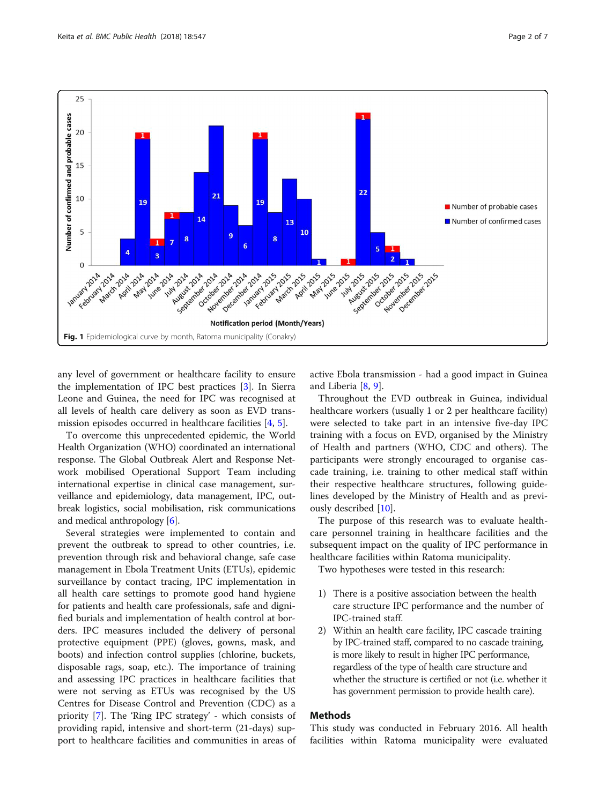<span id="page-1-0"></span>

any level of government or healthcare facility to ensure the implementation of IPC best practices [\[3](#page-5-0)]. In Sierra Leone and Guinea, the need for IPC was recognised at all levels of health care delivery as soon as EVD transmission episodes occurred in healthcare facilities [[4,](#page-5-0) [5\]](#page-5-0).

To overcome this unprecedented epidemic, the World Health Organization (WHO) coordinated an international response. The Global Outbreak Alert and Response Network mobilised Operational Support Team including international expertise in clinical case management, surveillance and epidemiology, data management, IPC, outbreak logistics, social mobilisation, risk communications and medical anthropology [[6](#page-5-0)].

Several strategies were implemented to contain and prevent the outbreak to spread to other countries, i.e. prevention through risk and behavioral change, safe case management in Ebola Treatment Units (ETUs), epidemic surveillance by contact tracing, IPC implementation in all health care settings to promote good hand hygiene for patients and health care professionals, safe and dignified burials and implementation of health control at borders. IPC measures included the delivery of personal protective equipment (PPE) (gloves, gowns, mask, and boots) and infection control supplies (chlorine, buckets, disposable rags, soap, etc.). The importance of training and assessing IPC practices in healthcare facilities that were not serving as ETUs was recognised by the US Centres for Disease Control and Prevention (CDC) as a priority [\[7](#page-5-0)]. The 'Ring IPC strategy' - which consists of providing rapid, intensive and short-term (21-days) support to healthcare facilities and communities in areas of

active Ebola transmission - had a good impact in Guinea and Liberia [\[8,](#page-5-0) [9\]](#page-5-0).

Throughout the EVD outbreak in Guinea, individual healthcare workers (usually 1 or 2 per healthcare facility) were selected to take part in an intensive five-day IPC training with a focus on EVD, organised by the Ministry of Health and partners (WHO, CDC and others). The participants were strongly encouraged to organise cascade training, i.e. training to other medical staff within their respective healthcare structures, following guidelines developed by the Ministry of Health and as previously described [[10\]](#page-5-0).

The purpose of this research was to evaluate healthcare personnel training in healthcare facilities and the subsequent impact on the quality of IPC performance in healthcare facilities within Ratoma municipality.

Two hypotheses were tested in this research:

- 1) There is a positive association between the health care structure IPC performance and the number of IPC-trained staff.
- 2) Within an health care facility, IPC cascade training by IPC-trained staff, compared to no cascade training, is more likely to result in higher IPC performance, regardless of the type of health care structure and whether the structure is certified or not (i.e. whether it has government permission to provide health care).

#### Methods

This study was conducted in February 2016. All health facilities within Ratoma municipality were evaluated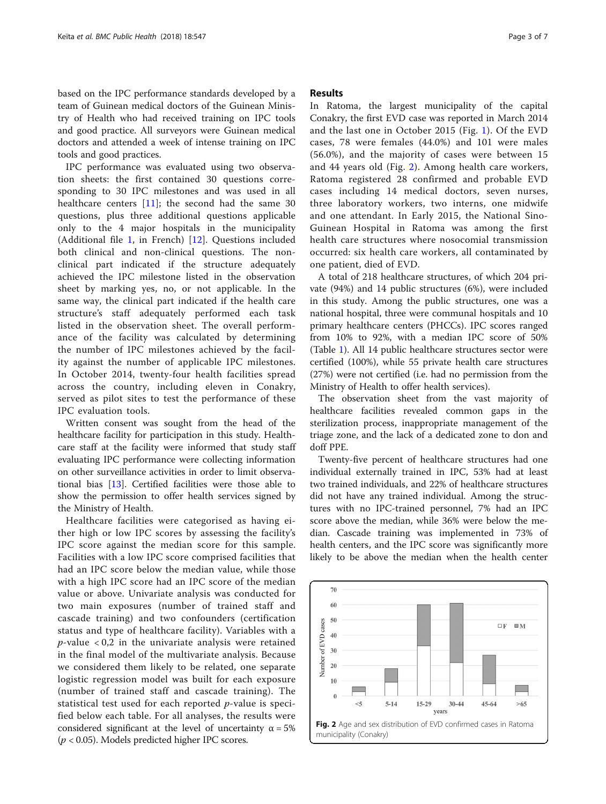based on the IPC performance standards developed by a team of Guinean medical doctors of the Guinean Ministry of Health who had received training on IPC tools and good practice. All surveyors were Guinean medical doctors and attended a week of intense training on IPC tools and good practices.

IPC performance was evaluated using two observation sheets: the first contained 30 questions corresponding to 30 IPC milestones and was used in all healthcare centers [[11](#page-5-0)]; the second had the same 30 questions, plus three additional questions applicable only to the 4 major hospitals in the municipality (Additional file [1](#page-5-0), in French) [[12\]](#page-6-0). Questions included both clinical and non-clinical questions. The nonclinical part indicated if the structure adequately achieved the IPC milestone listed in the observation sheet by marking yes, no, or not applicable. In the same way, the clinical part indicated if the health care structure's staff adequately performed each task listed in the observation sheet. The overall performance of the facility was calculated by determining the number of IPC milestones achieved by the facility against the number of applicable IPC milestones. In October 2014, twenty-four health facilities spread across the country, including eleven in Conakry, served as pilot sites to test the performance of these IPC evaluation tools.

Written consent was sought from the head of the healthcare facility for participation in this study. Healthcare staff at the facility were informed that study staff evaluating IPC performance were collecting information on other surveillance activities in order to limit observational bias [\[13](#page-6-0)]. Certified facilities were those able to show the permission to offer health services signed by the Ministry of Health.

Healthcare facilities were categorised as having either high or low IPC scores by assessing the facility's IPC score against the median score for this sample. Facilities with a low IPC score comprised facilities that had an IPC score below the median value, while those with a high IPC score had an IPC score of the median value or above. Univariate analysis was conducted for two main exposures (number of trained staff and cascade training) and two confounders (certification status and type of healthcare facility). Variables with a  $p$ -value < 0,2 in the univariate analysis were retained in the final model of the multivariate analysis. Because we considered them likely to be related, one separate logistic regression model was built for each exposure (number of trained staff and cascade training). The statistical test used for each reported p-value is specified below each table. For all analyses, the results were considered significant at the level of uncertainty  $\alpha = 5\%$  $(p < 0.05)$ . Models predicted higher IPC scores.

#### Results

In Ratoma, the largest municipality of the capital Conakry, the first EVD case was reported in March 2014 and the last one in October 2015 (Fig. [1\)](#page-1-0). Of the EVD cases, 78 were females (44.0%) and 101 were males (56.0%), and the majority of cases were between 15 and 44 years old (Fig. 2). Among health care workers, Ratoma registered 28 confirmed and probable EVD cases including 14 medical doctors, seven nurses, three laboratory workers, two interns, one midwife and one attendant. In Early 2015, the National Sino-Guinean Hospital in Ratoma was among the first health care structures where nosocomial transmission occurred: six health care workers, all contaminated by one patient, died of EVD.

A total of 218 healthcare structures, of which 204 private (94%) and 14 public structures (6%), were included in this study. Among the public structures, one was a national hospital, three were communal hospitals and 10 primary healthcare centers (PHCCs). IPC scores ranged from 10% to 92%, with a median IPC score of 50% (Table [1](#page-3-0)). All 14 public healthcare structures sector were certified (100%), while 55 private health care structures (27%) were not certified (i.e. had no permission from the Ministry of Health to offer health services).

The observation sheet from the vast majority of healthcare facilities revealed common gaps in the sterilization process, inappropriate management of the triage zone, and the lack of a dedicated zone to don and doff PPE.

Twenty-five percent of healthcare structures had one individual externally trained in IPC, 53% had at least two trained individuals, and 22% of healthcare structures did not have any trained individual. Among the structures with no IPC-trained personnel, 7% had an IPC score above the median, while 36% were below the median. Cascade training was implemented in 73% of health centers, and the IPC score was significantly more likely to be above the median when the health center

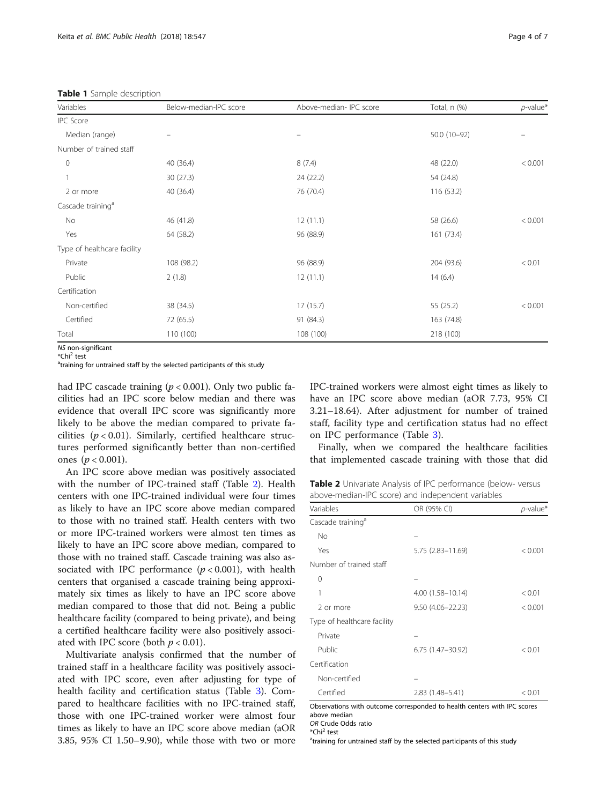| Variables                                                                         | Below-median-IPC score | Above-median- IPC score | Total, n (%) | $p$ -value* |
|-----------------------------------------------------------------------------------|------------------------|-------------------------|--------------|-------------|
| <b>IPC</b> Score                                                                  |                        |                         |              |             |
| Median (range)                                                                    |                        |                         | 50.0 (10-92) |             |
| Number of trained staff                                                           |                        |                         |              |             |
| $\mathbf 0$                                                                       | 40 (36.4)              | 8(7.4)                  | 48 (22.0)    | < 0.001     |
|                                                                                   | 30 (27.3)              | 24 (22.2)               | 54 (24.8)    |             |
| 2 or more                                                                         | 40 (36.4)              | 76 (70.4)               | 116 (53.2)   |             |
| Cascade training <sup>a</sup>                                                     |                        |                         |              |             |
| No                                                                                | 46 (41.8)              | 12(11.1)                | 58 (26.6)    | < 0.001     |
| Yes                                                                               | 64 (58.2)              | 96 (88.9)               | 161 (73.4)   |             |
| Type of healthcare facility                                                       |                        |                         |              |             |
| Private                                                                           | 108 (98.2)             | 96 (88.9)               | 204 (93.6)   | < 0.01      |
| Public                                                                            | 2(1.8)                 | 12(11.1)                | 14(6.4)      |             |
| Certification                                                                     |                        |                         |              |             |
| Non-certified                                                                     | 38 (34.5)              | 17(15.7)                | 55 (25.2)    | < 0.001     |
| Certified                                                                         | 72 (65.5)              | 91 (84.3)               | 163 (74.8)   |             |
| Total                                                                             | 110 (100)              | 108 (100)               | 218 (100)    |             |
| $\mathbf{A} \mathbf{B} \mathbf{C}$ . The contract of the contract of $\mathbf{C}$ |                        |                         |              |             |

<span id="page-3-0"></span>Table 1 Sample description

NS non-significant \*Chi<sup>2</sup> test

<sup>a</sup>training for untrained staff by the selected participants of this study

had IPC cascade training ( $p < 0.001$ ). Only two public facilities had an IPC score below median and there was evidence that overall IPC score was significantly more likely to be above the median compared to private facilities ( $p < 0.01$ ). Similarly, certified healthcare structures performed significantly better than non-certified ones ( $p < 0.001$ ).

An IPC score above median was positively associated with the number of IPC-trained staff (Table 2). Health centers with one IPC-trained individual were four times as likely to have an IPC score above median compared to those with no trained staff. Health centers with two or more IPC-trained workers were almost ten times as likely to have an IPC score above median, compared to those with no trained staff. Cascade training was also associated with IPC performance  $(p < 0.001)$ , with health centers that organised a cascade training being approximately six times as likely to have an IPC score above median compared to those that did not. Being a public healthcare facility (compared to being private), and being a certified healthcare facility were also positively associated with IPC score (both  $p < 0.01$ ).

Multivariate analysis confirmed that the number of trained staff in a healthcare facility was positively associated with IPC score, even after adjusting for type of health facility and certification status (Table [3\)](#page-4-0). Compared to healthcare facilities with no IPC-trained staff, those with one IPC-trained worker were almost four times as likely to have an IPC score above median (aOR 3.85, 95% CI 1.50–9.90), while those with two or more IPC-trained workers were almost eight times as likely to have an IPC score above median (aOR 7.73, 95% CI 3.21–18.64). After adjustment for number of trained staff, facility type and certification status had no effect on IPC performance (Table [3\)](#page-4-0).

Finally, when we compared the healthcare facilities that implemented cascade training with those that did

Table 2 Univariate Analysis of IPC performance (below-versus above-median-IPC score) and independent variables

| Variables                     | OR (95% CI)          | $p$ -value* |
|-------------------------------|----------------------|-------------|
| Cascade training <sup>a</sup> |                      |             |
| No                            |                      |             |
| Yes                           | 5.75 (2.83-11.69)    | < 0.001     |
| Number of trained staff       |                      |             |
| 0                             |                      |             |
| 1                             | 4.00 (1.58-10.14)    | < 0.01      |
| 2 or more                     | $9.50(4.06 - 22.23)$ | < 0.001     |
| Type of healthcare facility   |                      |             |
| Private                       |                      |             |
| Public                        | 6.75 (1.47–30.92)    | < 0.01      |
| Certification                 |                      |             |
| Non-certified                 |                      |             |
| Certified                     | 2.83 (1.48–5.41)     | < 0.01      |

Observations with outcome corresponded to health centers with IPC scores above median

OR Crude Odds ratio

 $*$ Chi<sup>2</sup> test

<sup>a</sup>training for untrained staff by the selected participants of this study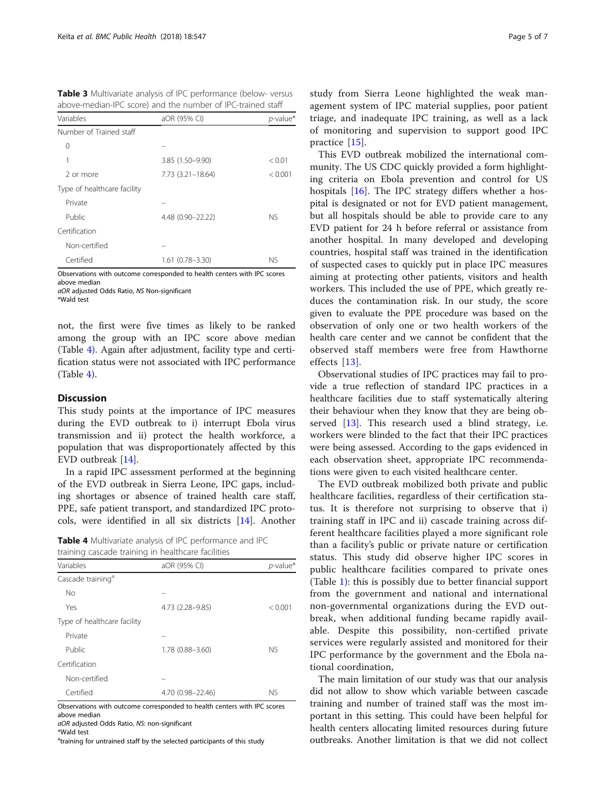<span id="page-4-0"></span>Table 3 Multivariate analysis of IPC performance (below- versus above-median-IPC score) and the number of IPC-trained staff

| Variables                   | aOR (95% CI)        | $p$ -value* |  |  |
|-----------------------------|---------------------|-------------|--|--|
| Number of Trained staff     |                     |             |  |  |
| 0                           |                     |             |  |  |
|                             | 3.85 (1.50-9.90)    | < 0.01      |  |  |
| 2 or more                   | 7.73 (3.21-18.64)   | < 0.001     |  |  |
| Type of healthcare facility |                     |             |  |  |
| Private                     |                     |             |  |  |
| Public                      | 4.48 (0.90-22.22)   | <b>NS</b>   |  |  |
| Certification               |                     |             |  |  |
| Non-certified               |                     |             |  |  |
| Certified                   | $1.61(0.78 - 3.30)$ | <b>NS</b>   |  |  |

Observations with outcome corresponded to health centers with IPC scores above median

aOR adjusted Odds Ratio, NS Non-significant

\*Wald test

not, the first were five times as likely to be ranked among the group with an IPC score above median (Table 4). Again after adjustment, facility type and certification status were not associated with IPC performance (Table 4).

#### **Discussion**

This study points at the importance of IPC measures during the EVD outbreak to i) interrupt Ebola virus transmission and ii) protect the health workforce, a population that was disproportionately affected by this EVD outbreak [\[14\]](#page-6-0).

In a rapid IPC assessment performed at the beginning of the EVD outbreak in Sierra Leone, IPC gaps, including shortages or absence of trained health care staff, PPE, safe patient transport, and standardized IPC protocols, were identified in all six districts [[14\]](#page-6-0). Another

|                                                    |  | Table 4 Multivariate analysis of IPC performance and IPC |  |
|----------------------------------------------------|--|----------------------------------------------------------|--|
| training cascade training in healthcare facilities |  |                                                          |  |

| $\tilde{}$                    |                   |             |
|-------------------------------|-------------------|-------------|
| Variables                     | aOR (95% CI)      | $p$ -value* |
| Cascade training <sup>a</sup> |                   |             |
| <b>No</b>                     |                   |             |
| Yes                           | 4.73 (2.28-9.85)  | < 0.001     |
| Type of healthcare facility   |                   |             |
| Private                       |                   |             |
| Public                        | 1.78 (0.88-3.60)  | <b>NS</b>   |
| Certification                 |                   |             |
| Non-certified                 |                   |             |
| Certified                     | 4.70 (0.98-22.46) | <b>NS</b>   |

Observations with outcome corresponded to health centers with IPC scores above median

aOR adjusted Odds Ratio, NS: non-significant

\*Wald test

<sup>a</sup>training for untrained staff by the selected participants of this study

study from Sierra Leone highlighted the weak management system of IPC material supplies, poor patient triage, and inadequate IPC training, as well as a lack of monitoring and supervision to support good IPC practice [[15\]](#page-6-0).

This EVD outbreak mobilized the international community. The US CDC quickly provided a form highlighting criteria on Ebola prevention and control for US hospitals [\[16](#page-6-0)]. The IPC strategy differs whether a hospital is designated or not for EVD patient management, but all hospitals should be able to provide care to any EVD patient for 24 h before referral or assistance from another hospital. In many developed and developing countries, hospital staff was trained in the identification of suspected cases to quickly put in place IPC measures aiming at protecting other patients, visitors and health workers. This included the use of PPE, which greatly reduces the contamination risk. In our study, the score given to evaluate the PPE procedure was based on the observation of only one or two health workers of the health care center and we cannot be confident that the observed staff members were free from Hawthorne effects [\[13\]](#page-6-0).

Observational studies of IPC practices may fail to provide a true reflection of standard IPC practices in a healthcare facilities due to staff systematically altering their behaviour when they know that they are being ob-served [\[13](#page-6-0)]. This research used a blind strategy, i.e. workers were blinded to the fact that their IPC practices were being assessed. According to the gaps evidenced in each observation sheet, appropriate IPC recommendations were given to each visited healthcare center.

The EVD outbreak mobilized both private and public healthcare facilities, regardless of their certification status. It is therefore not surprising to observe that i) training staff in IPC and ii) cascade training across different healthcare facilities played a more significant role than a facility's public or private nature or certification status. This study did observe higher IPC scores in public healthcare facilities compared to private ones (Table [1\)](#page-3-0): this is possibly due to better financial support from the government and national and international non-governmental organizations during the EVD outbreak, when additional funding became rapidly available. Despite this possibility, non-certified private services were regularly assisted and monitored for their IPC performance by the government and the Ebola national coordination,

The main limitation of our study was that our analysis did not allow to show which variable between cascade training and number of trained staff was the most important in this setting. This could have been helpful for health centers allocating limited resources during future outbreaks. Another limitation is that we did not collect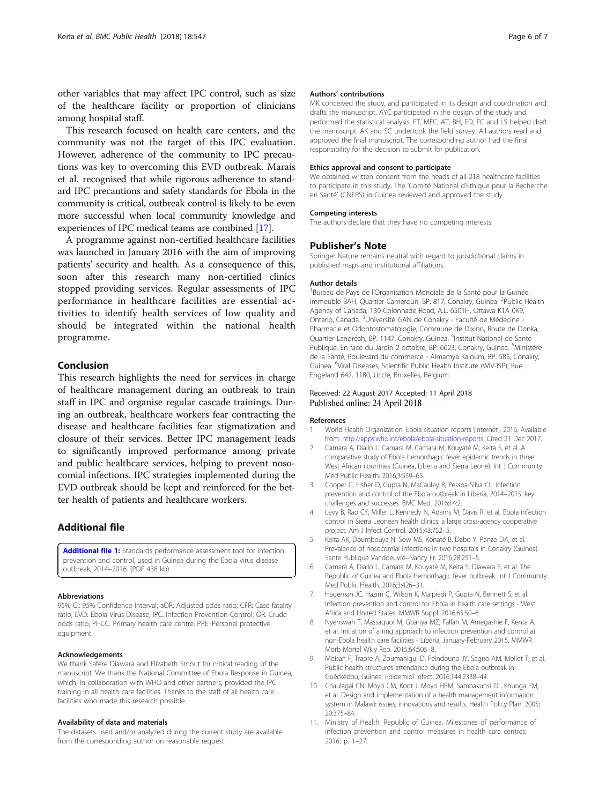<span id="page-5-0"></span>other variables that may affect IPC control, such as size of the healthcare facility or proportion of clinicians among hospital staff.

This research focused on health care centers, and the community was not the target of this IPC evaluation. However, adherence of the community to IPC precautions was key to overcoming this EVD outbreak. Marais et al. recognised that while rigorous adherence to standard IPC precautions and safety standards for Ebola in the community is critical, outbreak control is likely to be even more successful when local community knowledge and experiences of IPC medical teams are combined [\[17\]](#page-6-0).

A programme against non-certified healthcare facilities was launched in January 2016 with the aim of improving patients' security and health. As a consequence of this, soon after this research many non-certified clinics stopped providing services. Regular assessments of IPC performance in healthcare facilities are essential activities to identify health services of low quality and should be integrated within the national health programme.

#### Conclusion

This research highlights the need for services in charge of healthcare management during an outbreak to train staff in IPC and organise regular cascade trainings. During an outbreak, healthcare workers fear contracting the disease and healthcare facilities fear stigmatization and closure of their services. Better IPC management leads to significantly improved performance among private and public healthcare services, helping to prevent nosocomial infections. IPC strategies implemented during the EVD outbreak should be kept and reinforced for the better health of patients and healthcare workers.

#### Additional file

[Additional file 1:](https://doi.org/10.1186/s12889-018-5444-3) Standards performance assessment tool for infection prevention and control, used in Guinea during the Ebola virus disease outbreak, 2014–2016. (PDF 438 kb)

#### Abbreviations

95% CI: 95% Confidence Interval; aOR: Adjusted odds ratio; CFR: Case fatality ratio; EVD: Ebola Virus Disease; IPC: Infection Prevention Control; OR: Crude odds ratio; PHCC: Primary health care centre; PPE: Personal protective equipment

#### Acknowledgements

We thank Safere Diawara and Elizabeth Smout for critical reading of the manuscript. We thank the National Committee of Ebola Response in Guinea, which, in collaboration with WHO and other partners, provided the IPC training in all health care facilities. Thanks to the staff of all health care facilities who made this research possible.

#### Availability of data and materials

The datasets used and/or analyzed during the current study are available from the corresponding author on reasonable request.

#### Authors' contributions

MK conceived the study, and participated in its design and coordination and drafts the manuscript. AYC participated in the design of the study and performed the statistical analysis. FT, MEC, AT, BH, FD, FC and LS helped draft the manuscript. AK and SC undertook the field survey. All authors read and approved the final manuscript. The corresponding author had the final responsibility for the decision to submit for publication.

#### Ethics approval and consent to participate

We obtained written consent from the heads of all 218 healthcare facilities to participate in this study. The 'Comité National d'Ethique pour la Recherche en Santé' (CNERS) in Guinea reviewed and approved the study.

#### Competing interests

The authors declare that they have no competing interests.

#### Publisher's Note

Springer Nature remains neutral with regard to jurisdictional claims in published maps and institutional affiliations.

#### Author details

<sup>1</sup>Bureau de Pays de l'Organisation Mondiale de la Santé pour la Guinée, Immeuble BAH, Quartier Cameroun, BP: 817, Conakry, Guinea. <sup>2</sup>Public Health Agency of Canada, 130 Colonnade Road, A.L. 6501H, Ottawa K1A 0K9, Ontario, Canada. <sup>3</sup>Université GAN de Conakry - Faculté de Médecine -Pharmacie et Odontostomatologie, Commune de Dixinn, Route de Donka, Quartier Landréah, BP: 1147, Conakry, Guinea. <sup>4</sup>Institut National de Santé Publique, En face du Jardin 2 octobre, BP: 6623, Conakry, Guinea. <sup>5</sup>Ministère de la Santé, Boulevard du commerce - Almamya Kaloum, BP: 585, Conakry, Guinea. <sup>6</sup> Viral Diseases, Scientific Public Health Institute (WIV-ISP), Rue Engeland 642, 1180, Uccle, Bruxelles, Belgium.

#### Received: 22 August 2017 Accepted: 11 April 2018 Published online: 24 April 2018

#### References

- 1. World Health Organization. Ebola situation reports [internet]. 2016. Available from: <http://apps.who.int/ebola/ebola-situation-reports>. Cited 21 Dec 2017.
- 2. Camara A, Diallo L, Camara M, Camara M, Kouyaté M, Keita S, et al. A comparative study of Ebola hemorrhagic fever epidemic trends in three West African countries (Guinea, Liberia and Sierra Leone). Int J Community Med Public Health. 2016;3:559–65.
- 3. Cooper C, Fisher D, Gupta N, MaCauley R, Pessoa-Silva CL. Infection prevention and control of the Ebola outbreak in Liberia, 2014–2015: key challenges and successes. BMC Med. 2016;14:2.
- 4. Levy B, Rao CY, Miller L, Kennedy N, Adams M, Davis R, et al. Ebola infection control in Sierra Leonean health clinics: a large cross-agency cooperative project. Am J Infect Control. 2015;43:752–5.
- 5. Keita AK, Doumbouya N, Sow MS, Konaté B, Dabo Y, Panzo DA, et al. Prevalence of nosocomial infections in two hospitals in Conakry (Guinea). Sante Publique Vandoeuvre–Nancy Fr. 2016;28:251–5.
- 6. Camara A, Diallo L, Camara M, Kouyaté M, Keita S, Diawara S, et al. The Republic of Guinea and Ebola hemorrhagic fever outbreak. Int J Community Med Public Health. 2016;3:426–31.
- Hageman JC, Hazim C, Wilson K, Malpiedi P, Gupta N, Bennett S, et al. Infection prevention and control for Ebola in health care settings - West Africa and United States. MMWR Suppl. 2016;65:50–6.
- 8. Nyenswah T, Massaquoi M, Gbanya MZ, Fallah M, Amegashie F, Kenta A, et al. Initiation of a ring approach to infection prevention and control at non-Ebola health care facilities - Liberia, January-February 2015. MMWR Morb Mortal Wkly Rep. 2015;64:505–8.
- 9. Moisan F, Traore A, Zoumanigui D, Feindouno JY, Sagno AM, Mollet T, et al. Public health structures attendance during the Ebola outbreak in Guéckédou, Guinea. Epidemiol Infect. 2016;144:2338–44.
- 10. Chaulagai CN, Moyo CM, Koot J, Moyo HBM, Sambakunsi TC, Khunga FM, et al. Design and implementation of a health management information system in Malawi: issues, innovations and results. Health Policy Plan. 2005; 20:375–84.
- 11. Ministry of Health, Republic of Guinea. Milestones of performance of infection prevention and control measures in health care centres; 2016. p. 1–27.